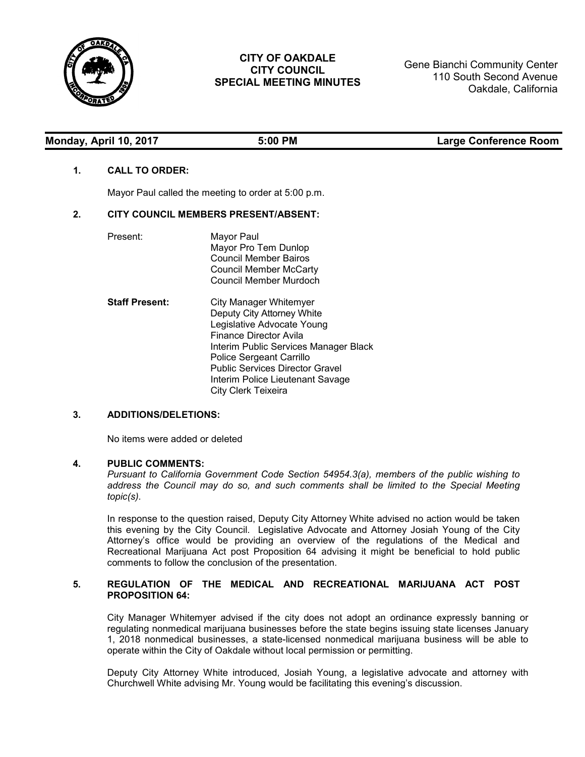

# **CITY OF OAKDALE CITY COUNCIL SPECIAL MEETING MINUTES**

Gene Bianchi Community Center 110 South Second Avenue Oakdale, California

| Monday, April 10, 2017 |  |
|------------------------|--|
|------------------------|--|

**Monday, April 10, 2017 5:00 PM Large Conference Room**

## **1. CALL TO ORDER:**

Mayor Paul called the meeting to order at 5:00 p.m.

## **2. CITY COUNCIL MEMBERS PRESENT/ABSENT:**

| Present:              | Mayor Paul<br>Mayor Pro Tem Dunlop<br>Council Member Bairos<br>Council Member McCarty<br>Council Member Murdoch                                                                                                                                                                        |
|-----------------------|----------------------------------------------------------------------------------------------------------------------------------------------------------------------------------------------------------------------------------------------------------------------------------------|
| <b>Staff Present:</b> | City Manager Whitemyer<br>Deputy City Attorney White<br>Legislative Advocate Young<br>Finance Director Avila<br>Interim Public Services Manager Black<br>Police Sergeant Carrillo<br><b>Public Services Director Gravel</b><br>Interim Police Lieutenant Savage<br>City Clerk Teixeira |

# **3. ADDITIONS/DELETIONS:**

No items were added or deleted

#### **4. PUBLIC COMMENTS:**

*Pursuant to California Government Code Section 54954.3(a), members of the public wishing to address the Council may do so, and such comments shall be limited to the Special Meeting topic(s).*

In response to the question raised, Deputy City Attorney White advised no action would be taken this evening by the City Council. Legislative Advocate and Attorney Josiah Young of the City Attorney's office would be providing an overview of the regulations of the Medical and Recreational Marijuana Act post Proposition 64 advising it might be beneficial to hold public comments to follow the conclusion of the presentation.

#### **5. REGULATION OF THE MEDICAL AND RECREATIONAL MARIJUANA ACT POST PROPOSITION 64:**

City Manager Whitemyer advised if the city does not adopt an ordinance expressly banning or regulating nonmedical marijuana businesses before the state begins issuing state licenses January 1, 2018 nonmedical businesses, a state-licensed nonmedical marijuana business will be able to operate within the City of Oakdale without local permission or permitting.

Deputy City Attorney White introduced, Josiah Young, a legislative advocate and attorney with Churchwell White advising Mr. Young would be facilitating this evening's discussion.